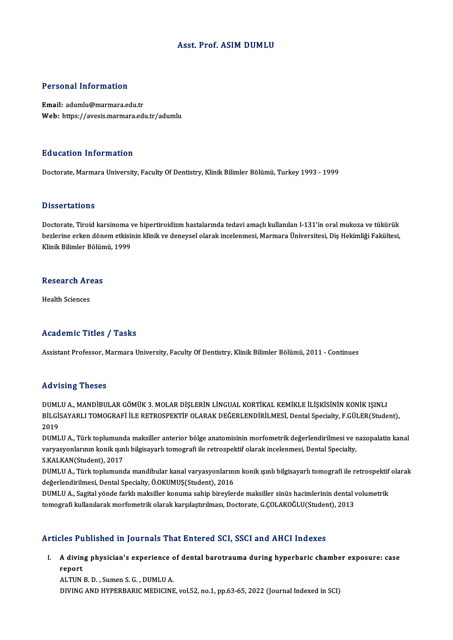## Asst. Prof. ASIM DUMLU

## Personal Information

Email: adumlu@marmara.edu.tr Web: https://avesis.marmara.edu.tr/adumlu

### Education Information

Doctorate, Marmara University, Faculty Of Dentistry, Klinik Bilimler Bölümü, Turkey 1993 - 1999

### **Dissertations**

Doctorate, Tiroid karsinoma ve hipertiroidizm hastalarında tedavi amaçlı kullanılan I-131'in oral mukoza ve tükürük Babber tatron.<br>Doctorate, Tiroid karsinoma ve hipertiroidizm hastalarında tedavi amaçlı kullanılan I-131'in oral mukoza ve tükürük<br>Klinik Pilimler Pölümü, 1999 Doctorate, Tiroid karsinoma v<br>bezlerine erken dönem etkisii<br>Klinik Bilimler Bölümü, 1999

## Rinik Bilimler Bolun<br>Research Areas R<mark>esearch Ar</mark><br>Health Sciences

# Academic Titles / Tasks

Assistant Professor, Marmara University, Faculty Of Dentistry, Klinik Bilimler Bölümü, 2011 - Continues

### Advising Theses

Advising Theses<br>DUMLU A., MANDİBULAR GÖMÜK 3. MOLAR DİŞLERİN LİNGUAL KORTİKAL KEMİKLE İLİŞKİSİNİN KONİK IŞINLI<br>PU CİSAYARLI TOMOCRAFİ İLE RETROSPEKTIF OLARAK DEĞERLENDİRLI MESİ, Dartal Spesialtı, E.CÜLER(Stude TA VISTIŞ YIRSSES<br>DUMLU A., MANDİBULAR GÖMÜK 3. MOLAR DİŞLERİN LİNGUAL KORTİKAL KEMİKLE İLİŞKİSİNİN KONİK IŞINLI<br>BİLGİSAYARLI TOMOGRAFİ İLE RETROSPEKTİF OLARAK DEĞERLENDİRİLMESİ, Dental Specialty, F.GÜLER(Student), DUML<br>BİLGİ:<br>2019<br>DIML BİLGİSAYARLI TOMOGRAFİ İLE RETROSPEKTİF OLARAK DEĞERLENDİRİLMESİ, Dental Specialty, F.GÜLER(Student),<br>2019<br>DUMLU A., Türk toplumunda maksiller anterior bölge anatomisinin morfometrik değerlendirilmesi ve nazopalatin kanal

2019<br>DUMLU A., Türk toplumunda maksiller anterior bölge anatomisinin morfometrik değerlendirilmesi ve r<br>varyasyonlarının konik ışınlı bilgisayarlı tomografi ile retrospektif olarak incelenmesi, Dental Specialty,<br>S.KALKAN(S DUMLU A., Türk toplumund<br>varyasyonlarının konik ışın<br>S.KALKAN(Student), 2017<br>DUMLU A., Türk toplumund varyasyonlarının konik ışınlı bilgisayarlı tomografi ile retrospektif olarak incelenmesi, Dental Specialty,<br>S.KALKAN(Student), 2017<br>DUMLU A., Türk toplumunda mandibular kanal varyasyonlarının konik ışınlı bilgisayarlı tomo

S.KALKAN(Student), 2017<br>DUMLU A., Türk toplumunda mandibular kanal varyasyonlarını<br>değerlendirilmesi, Dental Specialty, Ö.OKUMUŞ(Student), 2016<br>DUMULA, Sagital vände farklı maksiller konuma sahin birevler DUMLU A., Türk toplumunda mandibular kanal varyasyonlarının konik ışınlı bilgisayarlı tomografi ile retrospektif<br>değerlendirilmesi, Dental Specialty, Ö.OKUMUŞ(Student), 2016<br>DUMLU A., Sagital yönde farklı maksiller konuma

değerlendirilmesi, Dental Specialty, Ö.OKUMUŞ(Student), 2016<br>DUMLU A., Sagital yönde farklı maksiller konuma sahip bireylerde maksiller sinüs hacimlerinin dental v<br>tomografi kullanılarak morfometrik olarak karşılaştırılmas tomografi kullanılarak morfometrik olarak karşılaştırılması, Doctorate, G.ÇOLAKOĞLU(Student), 2013<br>Articles Published in Journals That Entered SCI, SSCI and AHCI Indexes

## rticles Published in Journals That Entered SCI, SSCI and AHCI Indexes<br>I. A diving physician's experience of dental barotrauma during hyperbaric chamber exposure: case<br>Report A divin<br>A divin<br>report A diving physician's experience c<br>report<br>ALTUN B. D. , Sumen S. G. , DUMLU A.<br>DIVINC AND UVPERRARIC MEDICINE

report<br>ALTUN B. D. , Sumen S. G. , DUMLU A.<br>DIVING AND HYPERBARIC MEDICINE, vol.52, no.1, pp.63-65, 2022 (Journal Indexed in SCI)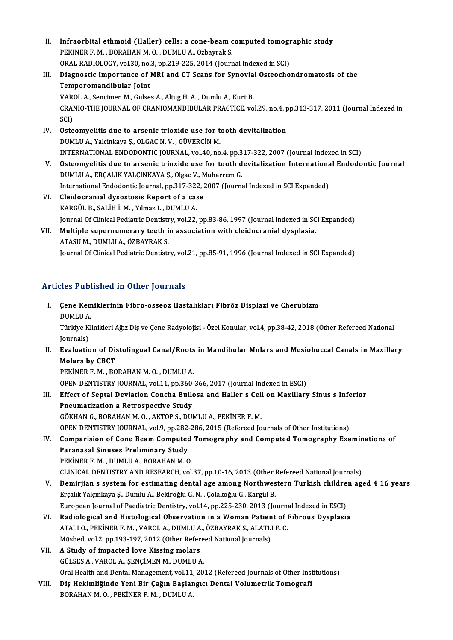II. Infraorbital ethmoid (Haller) cells: a cone-beam computed tomographic study<br>REVINER E M. RORAHAN M.O. DUMULA Orboynel: S Infraorbital ethmoid (Haller) cells: a cone-beam c<br>PEKİNER F. M. , BORAHAN M. O. , DUMLU A., Ozbayrak S.<br>ORAL RADIOLOCY vel 30 no 3 nn 310 325 3014 (Journ Infraorbital ethmoid (Haller) cells: a cone-beam computed tomographical results: a cone-beam computed tomographical processions.<br>ORAL RADIOLOGY, vol.30, no.3, pp.219-225, 2014 (Journal Indexed in SCI)<br>Diagnostic Importance PEKİNER F. M. , BORAHAN M. O. , DUMLU A., Ozbayrak S.<br>ORAL RADIOLOGY, vol.30, no.3, pp.219-225, 2014 (Journal Indexed in SCI)<br>III. Diagnostic Importance of MRI and CT Scans for Synovial Osteochondromatosis of the<br>Tempe

## ORAL RADIOLOGY, vol.30, no.<br>Diagnostic Importance of l<br>Temporomandibular Joint<br>VAROLA Sensimen M. Gulse Diagnostic Importance of MRI and CT Scans for Synovia<br>Temporomandibular Joint<br>VAROL A., Sencimen M., Gulses A., Altug H. A. , Dumlu A., Kurt B.<br>CRANIO THE JOURNAL OF CRANIOMANDIRULAR RRACTICE VO

Temporomandibular Joint<br>VAROL A., Sencimen M., Gulses A., Altug H. A. , Dumlu A., Kurt B.<br>CRANIO-THE JOURNAL OF CRANIOMANDIBULAR PRACTICE, vol.29, no.4, pp.313-317, 2011 (Journal Indexed in<br>SCD VAR<br>CRAI<br>SCI)<br>Oste CRANIO-THE JOURNAL OF CRANIOMANDIBULAR PRACTICE, vol.29, no.4, p<br>SCI)<br>IV. Osteomyelitis due to arsenic trioxide use for tooth devitalization<br>DIMLUA Velsinkaye S, OLGAG N, V., CÜVERCIN M

- SCI)<br>Osteomyelitis due to arsenic trioxide use for to<br>DUMLU A., Yalcinkaya Ş., OLGAÇ N. V. , GÜVERCİN M.<br>INTERNATIONAL ENDODONTIC IQURNAL, YOL40, P.9 DUMLU A., Yalcinkaya Ş., OLGAÇ N. V. , GÜVERCİN M.<br>INTERNATIONAL ENDODONTIC JOURNAL, vol.40, no.4, pp.317-322, 2007 (Journal Indexed in SCI)
- V. Osteomyelitis due to arsenic trioxide use for tooth devitalization International Endodontic Journal DUMLUA.,ERÇALIKYALÇINKAYAŞ.,OlgacV.,MuharremG. Osteomyelitis due to arsenic trioxide use for tooth devitalization Internationa<br>DUMLU A., ERÇALIK YALÇINKAYA Ş., Olgac V., Muharrem G.<br>International Endodontic Journal, pp.317-322, 2007 (Journal Indexed in SCI Expanded)<br>Cl
- VI. Cleidocranial dysostosis Report of a case<br>KARGÜL B., SALİH İ. M., Yılmaz L., DUMLU A. International Endodontic Journal, pp.317-32;<br>Cleidocranial dysostosis Report of a cas<br>KARGÜL B., SALİH İ. M. , Yılmaz L., DUMLU A.<br>Journal Of Clinical Bediatric Dentistry, val 33. Cleidocranial dysostosis Report of a case<br>KARGÜL B., SALİH İ. M. , Yılmaz L., DUMLU A.<br>Journal Of Clinical Pediatric Dentistry, vol.22, pp.83-86, 1997 (Journal Indexed in SCI Expanded)<br>Multiple eunernumerery teeth in assoc
- VII. Multiple supernumerary teeth in association with cleidocranial dysplasia.<br>ATASU M., DUMLU A., ÖZBAYRAK S. Journal Of Clinical Pediatric Dentistr<br>Multiple supernumerary teeth i<br>ATASU M., DUMLU A., ÖZBAYRAK S.<br>Journal Of Clinical Pediatric Dentistr Journal Of Clinical Pediatric Dentistry, vol.21, pp.85-91, 1996 (Journal Indexed in SCI Expanded)

## Articles Published in Other Journals

- rticles Published in Other Journals<br>I. Çene Kemiklerinin Fibro-osseoz Hastalıkları Fibröz Displazi ve Cherubizm<br>DIIMULA Cene Kem<br>DUMLU A.<br>Türkiye Kl Çene Kemiklerinin Fibro-osseoz Hastalıkları Fibröz Displazi ve Cherubizm<br>DUMLU A.<br>Türkiye Klinikleri Ağız Diş ve Çene Radyolojisi - Özel Konular, vol.4, pp.38-42, 2018 (Other Refereed National DUMLU A<br>Türkiye K<br>Journals)<br>Evoluatie Türkiye Klinikleri Ağız Diş ve Çene Radyolojisi - Özel Konular, vol.4, pp.38-42, 2018 (Other Refereed National<br>Journals)<br>II. Evaluation of Distolingual Canal/Roots in Mandibular Molars and Mesiobuccal Canals in Maxillary Journals)<br>
Evaluation of Distolingual Canal/Roots<br>
Molars by CBCT<br>
PEKINER F. M., BORAHAN M. O., DUMLU A. Evaluation of Distolingual Canal/Roots<br>Molars by CBCT<br>PEKİNER F. M. , BORAHAN M. O. , DUMLU A.<br>OPEN DENTISTRY JOUPMAL .vol 11 nn 260. Molars by CBCT<br>PEKINER F. M. , BORAHAN M. O. , DUMLU A.<br>OPEN DENTISTRY JOURNAL, vol.11, pp.360-366, 2017 (Journal Indexed in ESCI)<br>Effect of Sontal Dovistion Conche Bullege and Holley e Coll on Movillew PEKİNER F. M. , BORAHAN M. O. , DUMLU A.<br>OPEN DENTISTRY JOURNAL, vol.11, pp.360-366, 2017 (Journal Indexed in ESCI)<br>III. Effect of Septal Deviation Concha Bullosa and Haller s Cell on Maxillary Sinus s Inferior<br>Proumatizat OPEN DENTISTRY JOURNAL, vol.11, pp.360-<br>Effect of Septal Deviation Concha Bulle<br>Pneumatization a Retrospective Study Effect of Septal Deviation Concha Bullosa and Haller s Cel.<br>Pneumatization a Retrospective Study<br>GÖKHAN G., BORAHAN M. O. , AKTOP S., DUMLU A., PEKİNER F. M.<br>OPEN DENTISTRY JOURNAL, vel 9, pp.292.296.2015 (Refereed Jo Pneumatization a Retrospective Study<br>GÖKHAN G., BORAHAN M. O. , AKTOP S., DUMLU A., PEKİNER F. M.<br>OPEN DENTISTRY JOURNAL, vol.9, pp.282-286, 2015 (Refereed Journals of Other Institutions)<br>Comparision of Cane Beam Computed
- GÖKHAN G., BORAHAN M. O. , AKTOP S., DUMLU A., PEKİNER F. M.<br>OPEN DENTISTRY JOURNAL, vol.9, pp.282-286, 2015 (Refereed Journals of Other Institutions)<br>IV. Comparision of Cone Beam Computed Tomography and Computed Tomograph OPEN DENTISTRY JOURNAL, vol.9, pp.282<br>Comparision of Cone Beam Computed<br>Paranasal Sinuses Preliminary Study<br>PEKINER E M. DUMU JA ROBAHAN M.C Comparision of Cone Beam Computed<br>Paranasal Sinuses Preliminary Study<br>PEKİNER F. M. , DUMLU A., BORAHAN M. O.<br>CLINICAL DENTISTRY AND BESEARCH vol Paranasal Sinuses Preliminary Study<br>PEKİNER F. M. , DUMLU A., BORAHAN M. O.<br>CLINICAL DENTISTRY AND RESEARCH, vol.37, pp.10-16, 2013 (Other Refereed National Journals)<br>Dominijan s system for ostimating dantal age among Nort
- PEKİNER F. M., DUMLU A., BORAHAN M. O.<br>CLINICAL DENTISTRY AND RESEARCH, vol.37, pp.10-16, 2013 (Other Refereed National Journals)<br>V. Demirjian s system for estimating dental age among Northwestern Turkish children aged 4 1 CLINICAL DENTISTRY AND RESEARCH, vol.37, pp.10-16, 2013 (Other l<br>Demirjian s system for estimating dental age among Northwes<br>Erçalık Yalçınkaya Ş., Dumlu A., Bekiroğlu G.N. , Çolakoğlu G., Kargül B.<br>European Journal of Bae Demirjian s system for estimating dental age among Northwestern Turkish childre<br>Erçalık Yalçınkaya Ş., Dumlu A., Bekiroğlu G. N. , Çolakoğlu G., Kargül B.<br>European Journal of Paediatric Dentistry, vol.14, pp.225-230, 2013 Erçalık Yalçınkaya Ş., Dumlu A., Bekiroğlu G. N. , Çolakoğlu G., Kargül B.<br>European Journal of Paediatric Dentistry, vol.14, pp.225-230, 2013 (Journal Indexed in ESCI)<br>VI. Radiological and Histological Observation in a

- European Journal of Paediatric Dentistry, vol.14, pp.225-230, 2013 (Journa<br>Radiological and Histological Observation in a Woman Patient of J<br>ATALI O., PEKİNER F. M. , VAROL A., DUMLU A., ÖZBAYRAK S., ALATLI F. C.<br>Müched vo Radiological and Histological Observation in a Woman Patien<br>ATALI 0., PEKİNER F. M. , VAROL A., DUMLU A., ÖZBAYRAK S., ALATLI<br>Müsbed, vol.2, pp.193-197, 2012 (Other Refereed National Journals)<br>A Study of imnasted lave Kiss ATALI 0., PEKİNER F. M., VAROL A., DUMLU A<br>Müsbed, vol.2, pp.193-197, 2012 (Other Refer<br>VII. A Study of impacted love Kissing molars
- Müsbed, vol.2, pp.193-197, 2012 (Other Refereed National Journals)<br>VII. A Study of impacted love Kissing molars<br>GÜLSES A., VAROL A., ŞENÇİMEN M., DUMLU A. Oral Health and Dental Management, vol.11, 2012 (Refereed Journals of Other Institutions) GÜLSES A., VAROL A., ŞENÇİMEN M., DUMLU A.<br>Oral Health and Dental Management, vol.11, 2012 (Refereed Journals of Other Inst<br>VIII. Diş Hekimliğinde Yeni Bir Çağın Başlangıcı Dental Volumetrik Tomografi<br>PORAHAN M.O., PEKİNER
- Oral Health and Dental Management, vol.11<br>Diş Hekimliğinde Yeni Bir Çağın Başlar<br>BORAHAN M. O. , PEKİNER F. M. , DUMLU A.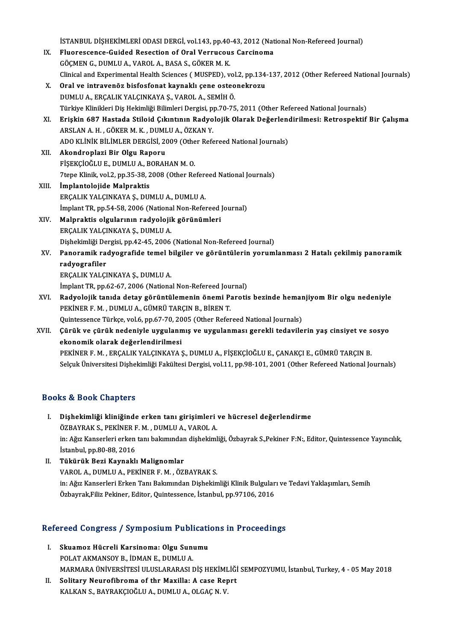İSTANBUL DİŞHEKİMLERİ ODASI DERGİ, vol.143, pp.40-43, 2012 (National Non-Refereed Journal)<br>Fluanessange Guidad Resection of Opel Vonnuseus Gargineme

ISTANBUL DIȘHEKIMLERI ODASI DERGI, vol.143, pp.40-43, 2012 (Nat<br>IX. Fluorescence-Guided Resection of Oral Verrucous Carcinoma IX. Fluorescence-Guided Resection of Oral Verrucous Carcinoma<br>GÖCMEN G., DUMLU A., VAROL A., BASA S., GÖKERM.K. Fluorescence-Guided Resection of Oral Verrucous Carcinoma<br>GÖÇMEN G., DUMLU A., VAROL A., BASA S., GÖKER M. K.<br>Clinical and Experimental Health Sciences ( MUSPED), vol.2, pp.134-137, 2012 (Other Refereed National Journals)<br> X. Oral ve intravenöz bisfosfonat kaynaklı çene osteonekrozu Clinical and Experimental Health Sciences (MUSPED), vol<br>Oral ve intravenöz bisfosfonat kaynaklı çene osteo<br>DUMLU A., ERÇALIK YALÇINKAYA Ş., VAROL A., SEMİH Ö.<br>Türkiye Klinikleri Diş Hekimliği Pilimleri Dergisi an 70.75 Oral ve intravenöz bisfosfonat kaynaklı çene osteonekrozu<br>DUMLU A., ERÇALIK YALÇINKAYA Ş., VAROL A., SEMİH Ö.<br>Türkiye Klinikleri Diş Hekimliği Bilimleri Dergisi, pp.70-75, 2011 (Other Refereed National Journals)<br>Friekin 69 XI. Erişkin 687 Hastada Stiloid Çıkıntının Radyolojik Olarak Değerlendirilmesi: Retrospektif Bir Çalışma Türkiye Klinikleri Diş Hekimliği Bilimleri Dergisi, p<br>Erişkin 687 Hastada Stiloid Çıkıntının Radyo<br>ARSLAN A. H. , GÖKER M. K. , DUMLU A., ÖZKAN Y.<br>ADO KLİNİK BİLİMLER DERÇİSİ 2009 (Other Refe Erişkin 687 Hastada Stiloid Çıkıntının Radyolojik Olarak Değerlend<br>ARSLAN A. H. , GÖKER M. K. , DUMLU A., ÖZKAN Y.<br>ADO KLİNİK BİLİMLER DERGİSİ, 2009 (Other Refereed National Journals)<br>Akandranlari Bir Olay Banary XII. Akondroplazi Bir Olgu Raporu<br>FİSEKÇİOĞLU E., DUMLU A., BORAHAN M. O. ADO KLİNİK BİLİMLER DERGİSİ, 2009 (Othe<br>**Akondroplazi Bir Olgu Raporu**<br>FİŞEKÇİOĞLU E., DUMLU A., BORAHAN M. O.<br><sup>71909 Klinik vol 2. pp.25, 28, 2008 (Other Bo</sup> 7tepe Klinik, vol.2, pp.35-38, 2008 (Other Refereed National Journals) XIII. İmplantolojide Malpraktis ERÇALIKYALÇINKAYAŞ.,DUMLUA.,DUMLUA. İmplantolojide Malpraktis<br>ERÇALIK YALÇINKAYA Ş., DUMLU A., DUMLU A.<br>İmplant TR, pp.54-58, 2006 (National Non-Refereed Journal)<br>Malpraktis olaylanının nadyalajik görünümleri XIV. Malpraktis olgularının radyolojik görünümleri İmplant TR, pp.54-58, 2006 (Nationa<br>Malpraktis olgularının radyolojil<br>ERÇALIK YALÇINKAYA Ş., DUMLU A.<br>Dishekimliği Dergisi np.42.45, 2006 Dişhekimliği Dergisi, pp.42-45, 2006 (National Non-Refereed Journal) ERÇALIK YALÇINKAYA Ş., DUMLU A.<br>Dişhekimliği Dergisi, pp.42-45, 2006 (National Non-Refereed Journal)<br>XV. Panoramik radyografide temel bilgiler ve görüntülerin yorumlanması 2 Hatalı çekilmiş panoramik<br>nadyografiler Dişhekimliği De<br><mark>Panoramik ra</mark><br>radyografiler<br>EPCALIK YALCI Panoramik radyografide temel b<br>radyografiler<br>ERÇALIK YALÇINKAYA Ş., DUMLU A.<br>İmplant TB\_nn 62,67, 2006 (Nationa radyografiler<br>ERÇALIK YALÇINKAYA Ş., DUMLU A.<br>İmplant TR, pp.62-67, 2006 (National Non-Refereed Journal)<br>Padvolojik tanıda detay görüntülemenin önemi Baretis ERÇALIK YALÇINKAYA Ş., DUMLU A.<br>İmplant TR, pp.62-67, 2006 (National Non-Refereed Journal)<br>XVI. Radyolojik tanıda detay görüntülemenin önemi Parotis bezinde hemanjiyom Bir olgu nedeniyle<br>prvined E.M. DUMLU A. CÜMBÜ TA İmplant TR, pp.62-67, 2006 (National Non-Refereed Jou<br>Radyolojik tanıda detay görüntülemenin önemi P;<br>PEKİNER F. M. , DUMLU A., GÜMRÜ TARÇIN B., BİREN T.<br>Quintessense Türkse vel 6, np.67, 70, 2005 (Other Befer Radyolojik tanıda detay görüntülemenin önemi Parotis bezinde hemar<br>PEKİNER F. M. , DUMLU A., GÜMRÜ TARÇIN B., BİREN T.<br>Quintessence Türkçe, vol.6, pp.67-70, 2005 (Other Refereed National Journals)<br>Gürük ve gürük pedeniyle PEKİNER F. M. , DUMLU A., GÜMRÜ TARÇIN B., BİREN T.<br>Quintessence Türkçe, vol.6, pp.67-70, 2005 (Other Refereed National Journals)<br>XVII. Çürük ve çürük nedeniyle uygulanmış ve uygulanması gerekli tedavilerin yaş cinsiye Quintessence Türkçe, vol.6, pp.67-70, 20<br>Çürük ve çürük nedeniyle uygulann<br>ekonomik olarak değerlendirilmesi<br>PEKİNER E.M., ERÇALIK VALGINKAYA S ekonomik olarak değerlendirilmesi<br>PEKİNER F. M. , ERÇALIK YALÇINKAYA Ş., DUMLU A., FİŞEKÇİOĞLU E., ÇANAKÇI E., GÜMRÜ TARÇIN B. Selçuk Üniversitesi Dişhekimliği Fakültesi Dergisi, vol.11, pp.98-101, 2001 (Other Refereed National Journals)

## Books&Book Chapters

- I. Dişhekimliği kliniğinde erken tanı girişimleri ve hücresel değerlendirme tə & Doon onaptors<br>Dişhekimliği kliniğinde erken tanı girişimleri<br>ÖZBAYRAK S., PEKİNER F. M. , DUMLU A., VAROL A.<br>in: Ağız Kanserleri erken tanı belamından dishekiml in: Ağız Kanserleri erken tanı bakımından dişhekimliği, Özbayrak S.,Pekiner F:N:, Editor, Quintessence Yayıncılık,<br>İstanbul, pp.80-88, 2016 ÖZBAYRAK S., PEKİNER F. M., DUMLU A., VAROL A.
- II. Tükürük Bezi Kaynaklı Malignomlar VAROLA.,DUMLUA.,PEKİNERF.M. ,ÖZBAYRAKS. Tükürük Bezi Kaynaklı Malignomlar<br>VAROL A., DUMLU A., PEKİNER F. M. , ÖZBAYRAK S.<br>in: Ağız Kanserleri Erken Tanı Bakımından Dişhekimliği Klinik Bulguları ve Tedavi Yaklaşımları, Semih<br>Özbaynak Filiz Pekiner, Editar, Quinte VAROL A., DUMLU A., PEKİNER F. M. , ÖZBAYRAK S.<br>in: Ağız Kanserleri Erken Tanı Bakımından Dişhekimliği Klinik Bulgular<br>Özbayrak,Filiz Pekiner, Editor, Quintessence, İstanbul, pp.97106, 2016

# ozbayrak, Filiz Pekiner, Editor, Quintessence, Istanbul, pp.97106, 2016<br>Refereed Congress / Symposium Publications in Proceedings

- efereed Congress / Symposium Publicati<br>I. Skuamoz Hücreli Karsinoma: Olgu Sunumu<br>POLATAKMANSOV P. İDMAN E. DUMLUA I. Skuamoz Hücreli Karsinoma: Olgu Sunumu<br>POLAT AKMANSOY B., İDMAN E., DUMLU A. MARMARAÜNİVERSİTESİULUSLARARASIDİŞHEKİMLİĞİ SEMPOZYUMU, İstanbul,Turkey,4 -05May2018 POLAT AKMANSOY B., İDMAN E., DUMLU A.<br>MARMARA ÜNIVERSİTESİ ULUSLARARASI DİŞ HEKİMLIĞİ<br>II. Solitary Neurofibroma of thr Maxilla: A case Reprt<br>KALKAN S. BAYBAKÇIQĞLU A. DUMLU A. QLCAC N. V
- MARMARA ÜNİVERSİTESİ ULUSLARARASI DİŞ HEKİMI<br>Solitary Neurofibroma of thr Maxilla: A case Re<sub>l</sub><br>KALKAN S., BAYRAKÇIOĞLU A., DUMLU A., OLGAÇ N. V.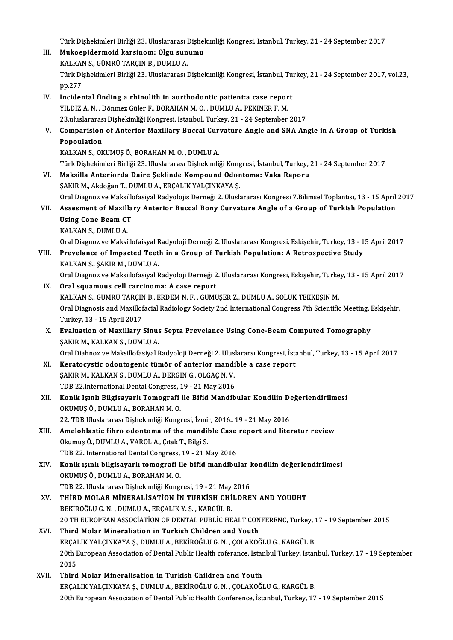- Türk Dişhekimleri Birliği 23. Uluslararası Dişhekimliği Kongresi, İstanbul, Turkey, 21 24 September 2017<br>Multaanidarmaid karsinamı Olsu sunumu Türk Dişhekimleri Birliği 23. Uluslararası Dişhel<br>III. Mukoepidermoid karsinom: Olgu sunumu<br>KALKAN S. GÜMPÜ TARGIN B. DUMLU A Türk Dişhekimleri Birliği 23. Uluslararası I<br>Mukoepidermoid karsinom: Olgu sun<br>KALKAN S., GÜMRÜ TARÇIN B., DUMLU A.<br>Türk Dishekimleri Birliği 22. Uluslararası I III. Mukoepidermoid karsinom: Olgu sunumu<br>KALKAN S., GÜMRÜ TARÇIN B., DUMLU A.<br>Türk Dişhekimleri Birliği 23. Uluslararası Dişhekimliği Kongresi, İstanbul, Turkey, 21 - 24 September 2017, vol.23,<br>pp.277 KALKAN S., GÜMRÜ TARÇIN B., DUMLU A. Türk Dişhekimleri Birliği 23. Uluslararası Dişhekimliği Kongresi, İstanbul, Tu<br>pp.277<br>IV. Incidental finding a rhinolith in aorthodontic patient:a case report<br>VII.DIZA N. Dönmer Güler E. BORAHAN M.O. DIJMI II.A. PEKİNER E. YILDIZ A. N., Dönmez Güler F., BORAHAN M. O., DUMLU A., PEKİNER F. M.<br>23 uluslararası Dişhekimliği Kongresi, İstanbul, Turkey, 21 - 24 September 2017 Incidental finding a rhinolith in aorthodontic patient:a case report<br>23.uluslararası Dişhekimliği Kongresi, İstanbul, Turkey, 21 - 24 September 2017<br>23.uluslararası Dişhekimliği Kongresi, İstanbul, Turkey, 21 - 24 Septembe YILDIZ A. N. , Dönmez Güler F., BORAHAN M. O. , DUMLU A., PEKİNER F. M.<br>23.uluslararası Dişhekimliği Kongresi, İstanbul, Turkey, 21 - 24 September 2017<br>V. Comparision of Anterior Maxillary Buccal Curvature Angle and SNA An 23.uluslararas<br>Comparision<br>Popoulation<br>KALKANS OK Comparision of Anterior Maxillary Buccal Cur<br>Popoulation<br>KALKAN S., OKUMUŞ Ö., BORAHAN M. O. , DUMLU A.<br>Türk Dishekimleri Birliği 22. Uluslararesı Dishekimli Popoulation<br>KALKAN S., OKUMUŞ Ö., BORAHAN M. O. , DUMLU A.<br>Türk Dishekimleri Birliği 23. Uluslararası Dishekimliği Kongresi, İstanbul, Turkey, 21 - 24 September 2017 VI. Maksilla Anteriorda Daire Şeklinde Kompound Odontoma: Vaka Raporu ŞAKIR M., Akdoğan T., DUMLU A., ERÇALIK YALÇINKAYA Ş. Maksilla Anteriorda Daire Şeklinde Kompound Odontoma: Vaka Raporu<br>ŞAKIR M., Akdoğan T., DUMLU A., ERÇALIK YALÇINKAYA Ş.<br>Oral Diagnoz ve Maksillofasiyal Radyolojis Derneği 2. Uluslararası Kongresi 7.Bilimsel Toplantısı, 13 ŞAKIR M., Akdoğan T., DUMLU A., ERÇALIK YALÇINKAYA Ş.<br>Oral Diagnoz ve Maksillofasiyal Radyolojis Derneği 2. Uluslararası Kongresi 7.Bilimsel Toplantısı, 13 - 15 April<br>VII. Assesment of Maxillary Anterior Buccal Bony Cu Oral Diagnoz ve Maksillo<br>Assesment of Maxilla<br>Using Cone Beam CT<br>KALKAN S. DUMULA Assesment of Maxill<br>Using Cone Beam CT<br>KALKAN S., DUMLU A.<br>Oral Diagner ve Makai Using Cone Beam CT<br>KALKAN S., DUMLU A.<br>Oral Diagnoz ve Maksillofaisyal Radyoloji Derneği 2. Uluslararası Kongresi, Eskişehir, Turkey, 13 - 15 April 2017 KALKAN S., DUMLU A.<br>Oral Diagnoz ve Maksillofaisyal Radyoloji Derneği 2. Uluslararası Kongresi, Eskişehir, Turkey, 13 - 1<br>VIII. Prevelance of Impacted Teeth in a Group of Turkish Population: A Retrospective Study<br>VALKA Oral Diagnoz ve Maksillofaisyal F<br>Prevelance of Impacted Teet<br>KALKAN S., ŞAKIR M., DUMLU A.<br>Oral Diagnoz ve Maksillofasiyal E Prevelance of Impacted Teeth in a Group of Turkish Population: A Retrospective Study<br>KALKAN S., ŞAKIR M., DUMLU A.<br>Oral Sauamaus sall sarsinoma: A sase report KALKAN S., ŞAKIR M., DUMLU A.<br>Oral Diagnoz ve Maksiilofasiyal Radyoloji Derneği 2. Uluslararası Kongresi, Eskişehir, Turkey, 13 - 15 April 2017<br>IX. Oral squamous cell carcinoma: A case report Oral Diagnoz ve Maksiilofasiyal Radyoloji Derneği 2. Uluslararası Kongresi, Eskişehir, Turke<br>Oral squamous cell carcinoma: A case report<br>KALKAN S., GÜMRÜ TARÇIN B., ERDEM N. F. , GÜMÜŞER Z., DUMLU A., SOLUK TEKKEŞİN M.<br>Ora Oral Diagnosis and Maxillofacial Radiology Society 2nd International Congress 7th Scientific Meeting, Eskişehir,<br>Turkey, 13 - 15 April 2017 KALKAN S., GÜMRÜ TARÇIN<br>Oral Diagnosis and Maxillof<br>Turkey, 13 - 15 April 2017<br>Evaluation of Maxillary Oral Diagnosis and Maxillofacial Radiology Society 2nd International Congress 7th Scientific Meeting, I<br>Turkey, 13 - 15 April 2017<br>X. Evaluation of Maxillary Sinus Septa Prevelance Using Cone-Beam Computed Tomography<br>SAKIP Turkey, 13 - 15 April 2017<br>**Evaluation of Maxillary Sinu:**<br>ŞAKIR M., KALKAN S., DUMLU A.<br>Oral Diabner ve Maksillefesiyal I Evaluation of Maxillary Sinus Septa Prevelance Using Cone-Beam Computed Tomography<br>ŞAKIR M., KALKAN S., DUMLU A.<br>Oral Diahnoz ve Maksillofasiyal Radyoloji Derneği 2. Uluslararsı Kongresi, İstanbul, Turkey, 13 - 15 April 20 SAKIR M., KALKAN S., DUMLU A.<br>Oral Diahnoz ve Maksillofasiyal Radyoloji Derneği 2. Uluslararsı Kongresi, İst.<br>XI. Keratocystic odontogenic tümör of anterior mandible a case report<br>SAKIR M. KALKAN S. DUMLU A. DERÇİN G. OLGA Oral Diahnoz ve Maksillofasiyal Radyoloji Derneği 2. Ulus.<br>Keratocystic odontogenic tümör of anterior mandi<br>ŞAKIR M., KALKAN S., DUMLU A., DERGİN G., OLGAÇ N. V.<br>TDP 22 International Dertal Congress, 19,, 21 May 2016 Keratocystic odontogenic tümör of anterior mandi<br>ŞAKIR M., KALKAN S., DUMLU A., DERGİN G., OLGAÇ N. V.<br>TDB 22.International Dental Congress, 19 - 21 May 2016<br>Konik Jeunh Bilgiseverk Temegrefi ile Bifid Mandib SAKIR M., KALKAN S., DUMLU A., DERGİN G., OLGAÇ N. V.<br>TDB 22.International Dental Congress, 19 - 21 May 2016<br>XII. Konik Işınlı Bilgisayarlı Tomografi ile Bifid Mandibular Kondilin Değerlendirilmesi<br>OYUMUSÖ DUMLU A. BORAHAN TDB 22.International Dental Congress, 1<br>Konik Işınlı Bilgisayarlı Tomografi<br>OKUMUŞ Ö., DUMLU A., BORAHAN M. O.<br>22. TDB Uluslararsa: Disbeltimliği Kongr
- Konik Işınlı Bilgisayarlı Tomografi ile Bifid Mandibular Kondilin De<br>OKUMUŞ Ö., DUMLU A., BORAHAN M. O.<br>22. TDB Uluslararası Dişhekimliği Kongresi, İzmir, 2016., 19 21 May 2016<br>Ameloblastis fibro odontama of the mandible OKUMUŞ Ö., DUMLU A., BORAHAN M. O.<br>22. TDB Uluslararası Dişhekimliği Kongresi, İzmir, 2016., 19 - 21 May 2016<br>XIII. Ameloblastic fibro odontoma of the mandible Case report and literatur review<br>Okumuş Ö., DUMLU A., VAROL A. 22. TDB Uluslararası Dişhekimliği Kongresi, İzmir, 2016., 19 - 21 May 2016
- Ameloblastic fibro odontoma of the mandible Case<br>Okumuş Ö., DUMLU A., VAROL A., Çıtak T., Bilgi S.<br>TDB 22. International Dental Congress, 19 21 May 2016<br>Konik vanlı bilgiseverli temesrefi ile bifid mandibu
- XIV. Konik ışınlı bilgisayarlı tomografi ile bifid mandibular kondilin değerlendirilmesi<br>OKUMUS Ö., DUMLU A., BORAHAN M. O. TDB 22. International Dental Congress,<br>Konik ışınlı bilgisayarlı tomografi il<br>OKUMUŞ Ö., DUMLU A., BORAHAN M. O.<br>TDB 22. Uluslararası Disbekimliği Kongr Konik ışınlı bilgisayarlı tomografi ile bifid mandibular l<br>OKUMUŞ Ö., DUMLU A., BORAHAN M. O.<br>TDB 22. Uluslararası Dişhekimliği Kongresi, 19 - 21 May 2016<br>THİPD MOLAR MİNERALİSATİON İN TURKİSH CHİLDRE
- XV. THIRD MOLAR MINERALISATION IN TURKISH CHILDREN AND YOUUHT<br>BEKİROĞLU G. N., DUMLU A., ERÇALIK Y. S., KARGÜL B. TDB 22. Uluslararası Dişhekimliği Kongresi, 19 - 21 May<br>THİRD MOLAR MİNERALİSATİON İN TURKİSH CHİ<br>BEKİROĞLU G.N. , DUMLU A., ERÇALIK Y.S. , KARGÜL B.<br>20 TH FUROBEAN ASSOCIATION OF DENTAL PUBLIC HE THİRD MOLAR MİNERALİSATİON İN TURKİSH CHİLDREN AND YOUUHT<br>BEKİROĞLU G. N. , DUMLU A., ERÇALIK Y. S. , KARGÜL B.<br>20 TH EUROPEAN ASSOCIATİON OF DENTAL PUBLİC HEALT CONFERENC, Turkey, 17 - 19 September 2015<br>Third Molar Minara BEKIROĞLU G. N. , DUMLU A., ERÇALIK Y. S. , KARGÜL B.<br>20 TH EUROPEAN ASSOCIATION OF DENTAL PUBLIC HEALT CON<br>XVI. Third Molar Mineraliation in Turkish Children and Youth<br>ERGALIY VALCINIZAVA S. DUMLU A. BEKIROĞLU C. N. GOLAK
- 20 TH EUROPEAN ASSOCIATION OF DENTAL PUBLIC HEALT CONFERENC, Turkey, 1<br>Third Molar Mineraliation in Turkish Children and Youth<br>ERÇALIK YALÇINKAYA Ş., DUMLU A., BEKİROĞLU G.N. , ÇOLAKOĞLU G., KARGÜL B.<br>20th European Associa Third Molar Mineraliation in Turkish Children and Youth<br>ERÇALIK YALÇINKAYA Ş., DUMLU A., BEKİROĞLU G. N. , ÇOLAKOĞLU G., KARGÜL B.<br>20th European Association of Dental Public Health coferance, İstanbul Turkey, İstanbul, Tur ERÇAI<br>20th E<br>2015<br>Third 20th European Association of Dental Public Health coferance, İstan<br>2015<br>XVII. Third Molar Mineralisation in Turkish Children and Youth<br>EPCALIK VALCINKAVA S. DUMLU A. PEKİROĞLU C.N. COLAKOĞI
- 2015<br>Third Molar Mineralisation in Turkish Children and Youth<br>ERÇALIK YALÇINKAYA Ş., DUMLU A., BEKİROĞLU G. N. , ÇOLAKOĞLU G., KARGÜL B. 20thEuropeanAssociationofDentalPublicHealthConference, İstanbul,Turkey,17 -19 September 2015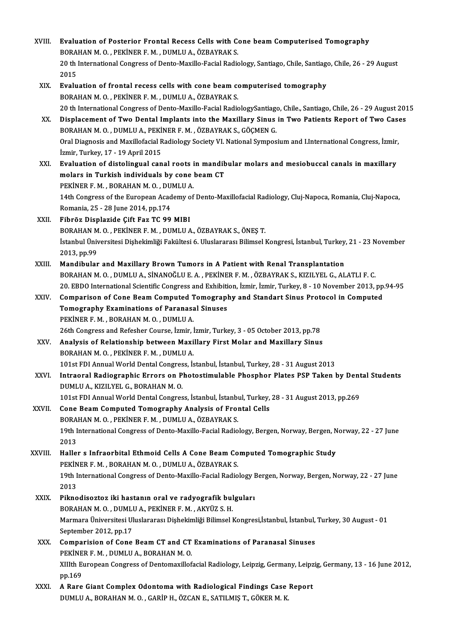XVIII. Evaluation of Posterior Frontal Recess Cells with Cone beam Computerised Tomography<br>ROBAHAN M.O. REVINER E.M. DUMU J.A. ÖZRAVRAKS Evaluation of Posterior Frontal Recess Cells with Conditional Control of Posterior Frontal Recess Cells with C<br>BORAHAN M. O. , PEKİNER F. M. , DUMLU A., ÖZBAYRAK S. Evaluation of Posterior Frontal Recess Cells with Cone beam Computerised Tomography<br>BORAHAN M. O. , PEKİNER F. M. , DUMLU A., ÖZBAYRAK S.<br>20 th International Congress of Dento-Maxillo-Facial Radiology, Santiago, Chile, San BORAHAN M. O. , PEKINER F. M. , DUMLU A., ÖZBAYRAK S.<br>20 th International Congress of Dento-Maxillo-Facial Radiology, Santiago, Chile, Santiago, Chile, 26 - 29 August<br>2015 20 th International Congress of Dento-Maxillo-Facial Radiology, Santiago, Chile, Santiago<br>2015<br>XIX. Evaluation of frontal recess cells with cone beam computerised tomography<br>2008/HAN M.O. REVINER E.M. DUMLUA ÖZRAVRAK S 2015<br><mark>Evaluation of frontal recess cells with cone beam constant and the Seculuation of frontal recess cells with cone</mark><br>20 th International Congress of Dente Maxille Facial Badie Evaluation of frontal recess cells with cone beam computerised tomography<br>BORAHAN M. O. , PEKİNER F. M. , DUMLU A., ÖZBAYRAK S.<br>20 th International Congress of Dento-Maxillo-Facial RadiologySantiago, Chile., Santiago, Chil BORAHAN M. O., PEKINER F. M., DUMLU A., ÖZBAYRAK S.<br>20 th International Congress of Dento-Maxillo-Facial RadiologySantiago, Chile., Santiago, Chile, 26 - 29 August 20<br>3X. Displacement of Two Dental Implants into the Maxill 20 th International Congress of Dento-Maxillo-Facial RadiologySantiago<br>Displacement of Two Dental Implants into the Maxillary Sinus<br>BORAHAN M. O. , DUMLU A., PEKİNER F. M. , ÖZBAYRAK S., GÖÇMEN G.<br>Oral Diagnesis and Maxill Displacement of Two Dental Implants into the Maxillary Sinus in Two Patients Report of Two Case<br>BORAHAN M. O. , DUMLU A., PEKİNER F. M. , ÖZBAYRAK S., GÖÇMEN G.<br>Oral Diagnosis and Maxillofacial Radiology Society VI. Nation BORAHAN M. O. , DUMLU A., PEKİ<br>Oral Diagnosis and Maxillofacial R<br>İzmir, Turkey, 17 - 19 April 2015<br>Fualuation of distalingual can Oral Diagnosis and Maxillofacial Radiology Society VI. National Symposium and I.International Congress, İzmir,<br>İzmir, Turkey, 17 - 19 April 2015<br>XXI. Byaluation of distolingual canal roots in mandibular molars and mesiobuc İzmir, Turkey, 17 - 19 April 2015<br>XXI. Evaluation of distolingual canal roots in mandibular molars and mesiobuccal canals in maxillary<br>molars in Turkish individuals by cone beam CT Evaluation of distolingual canal roots in<br>molars in Turkish individuals by cone<br>PEKİNER F.M., BORAHANM.O., DUMLUA.<br>14th Congress of the European Asademy of molars in Turkish individuals by cone beam CT<br>PEKİNER F. M. , BORAHAN M. O. , DUMLU A.<br>14th Congress of the European Academy of Dento-Maxillofacial Radiology, Cluj-Napoca, Romania, Cluj-Napoca,<br>Romania, 25,,,,,,,,,,,,,,,,, PEKİNER F. M. , BORAHAN M. O. , DU.<br>14th Congress of the European Acad<br>Romania, 25 - 28 June 2014, pp.174<br>Fihräg Displagide Cift Fog TC 00. 14th Congress of the European Academy of<br>Romania, 25 - 28 June 2014, pp.174<br>XXII. Fibröz Displazide Çift Faz TC 99 MIBI Romania, 25 - 28 June 2014, pp.174<br>Fibröz Displazide Çift Faz TC 99 MIBI<br>BORAHAN M. O. , PEKİNER F. M. , DUMLU A., ÖZBAYRAK S., ÖNES T. Fibröz Displazide Çift Faz TC 99 MIBI<br>BORAHAN M. O. , PEKİNER F. M. , DUMLU A., ÖZBAYRAK S., ÖNEŞ T.<br>İstanbul Üniversitesi Dişhekimliği Fakültesi 6. Uluslararası Bilimsel Kongresi, İstanbul, Turkey, 21 - 23 November<br>2012 n 12013, BORAHAN<br>1914<br>2013, pp.99<br>Mandibular Istanbul Üniversitesi Dişhekimliği Fakültesi 6. Uluslararası Bilimsel Kongresi, İstanbul, Turkey.<br>2013, pp.99<br>XXIII. Mandibular and Maxillary Brown Tumors in A Patient with Renal Transplantation 2013, pp.99<br>Mandibular and Maxillary Brown Tumors in A Patient with Renal Transplantation<br>BORAHAN M. O. , DUMLU A., SİNANOĞLU E. A. , PEKİNER F. M. , ÖZBAYRAK S., KIZILYEL G., ALATLI F. C. Mandibular and Maxillary Brown Tumors in A Patient with Renal Transplantation<br>BORAHAN M. O. , DUMLU A., SİNANOĞLU E. A. , PEKİNER F. M. , ÖZBAYRAK S., KIZILYEL G., ALATLI F. C.<br>20. EBDO International Scientific Congress an BORAHAN M. O., DUMLU A., SİNANOĞLU E. A., PEKİNER F. M., ÖZBAYRAK S., KIZILYEL G., ALATLI F. C.<br>20. EBDO International Scientific Congress and Exhibition, İzmir, İzmir, Turkey, 8 - 10 November 2013, pp<br>XXIV. Comparison of 20. EBDO International Scientific Congress and Exhibiti<br>Comparison of Cone Beam Computed Tomograph<br>Tomography Examinations of Paranasal Sinuses<br>REVINER E M. ROBAHAN M.O. DUMU LA Comparison of Cone Beam Computed T<br>Tomography Examinations of Paranasa<br>PEKİNER F.M., BORAHAN M.O., DUMLU A. 20thCongraphy Examinations of Paranasal Sinuses<br>26thCongress and Refesher Course, İzmir, İzmir, Turkey, 3 - 05 October 2013, pp.78<br>26th Congress and Refesher Course, İzmir, İzmir, Turkey, 3 - 05 October 2013, pp.78 XXV. Analysis of Relationship between Maxillary First Molar and Maxillary Sinus BORAHANM.O. ,PEKİNERF.M. ,DUMLUA. Analysis of Relationship between Maxillary First Molar and Maxillary Sinus<br>BORAHAN M. O. , PEKİNER F. M. , DUMLU A.<br>101st FDI Annual World Dental Congress, İstanbul, İstanbul, Turkey, 28 - 31 August 2013<br>Intreeral Bediegra XXVI. Intraoral Radiographic Errors on Photostimulable Phosphor Plates PSP Taken by Dental Students 101st FDI Annual World Dental Congres<br>Intraoral Radiographic Errors on P<br>DUMLU A., KIZILYEL G., BORAHAN M. O.<br>101st EDI Annual World Dental Congres Intraoral Radiographic Errors on Photostimulable Phosphor Plates PSP Taken by Dent<br>DUMLU A., KIZILYEL G., BORAHAN M. O.<br>101st FDI Annual World Dental Congress, İstanbul, İstanbul, Turkey, 28 - 31 August 2013, pp.269<br>Cons B DUMLU A., KIZILYEL G., BORAHAN M. O.<br>101st FDI Annual World Dental Congress, İstanbul, İstanbul, Turkey,<br>XXVII. Cone Beam Computed Tomography Analysis of Frontal Cells<br>PORAHAN M. O., PEKİNER E. M., DIMLU A. ÖZBAYRAK S. 101st FDI Annual World Dental Congress, İstanbul, İstanbı<br>Cone Beam Computed Tomography Analysis of Fron<br>BORAHAN M. O. , PEKİNER F. M. , DUMLU A., ÖZBAYRAK S.<br>10th International Congress of Dente Marille Facial Badie Cone Beam Computed Tomography Analysis of Frontal Cells<br>BORAHAN M. O. , PEKİNER F. M. , DUMLU A., ÖZBAYRAK S.<br>19th International Congress of Dento-Maxillo-Facial Radiology, Bergen, Norway, Bergen, Norway, 22 - 27 June<br>2013 **BORA**<br>19th I<br>2013<br>Hallel 19th International Congress of Dento-Maxillo-Facial Radiology, Bergen, Norway, Bergen, N<br>2013<br>XXVIII. Haller s Infraorbital Ethmoid Cells A Cone Beam Computed Tomographic Study<br>DEVINED E M. BORAHAN M.O. DUMLUA ÖZRAVRAKS 2013<br>Haller s Infraorbital Ethmoid Cells A Cone Beam Co<br>PEKİNER F. M. , BORAHAN M. O. , DUMLU A., ÖZBAYRAK S.<br>19th International Congress of Dente Mexille Easial Badie Haller s Infraorbital Ethmoid Cells A Cone Beam Computed Tomographic Study<br>PEKİNER F. M. , BORAHAN M. O. , DUMLU A., ÖZBAYRAK S.<br>19th International Congress of Dento-Maxillo-Facial Radiology Bergen, Norway, Bergen, Norway, PEKİN<br>19th I<br>2013<br><sup>Dikno</sup> 19th International Congress of Dento-Maxillo-Facial Radiology I<br>2013<br>XXIX. Piknodisoztoz iki hastanın oral ve radyografik bulguları<br>POPAHAN M.O. DIMI ILA PEKİNER E.M. AKYÜZ S.H. 2013<br><mark>Piknodisoztoz iki hastanın oral ve radyografik bul</mark><br>BORAHAN M. O. , DUMLU A., PEKİNER F. M. , AKYÜZ S. H.<br>Marmara Üniversitesi Uluslararası Dishakimliği Bilimsel l Marmara Üniversitesi Uluslararası Dişhekimliği Bilimsel Kongresi,İstanbul, İstanbul, Turkey, 30 August - 01<br>September 2012, pp.17 BORAHAN M. O., DUMLU A., PEKİNER F. M., AKYÜZ S. H. XXX. Comparision of Cone Beam CT and CT Examinations of Paranasal Sinuses September 2012, pp.17<br>Comparision of Cone Beam CT and CT<br>PEKİNER F. M. , DUMLU A., BORAHAN M. O.<br>YUth Europeen Congress of Dentemerillef XIIIth European Congress of Dentomaxillofacial Radiology, Leipzig, Germany, Leipzig, Germany, 13 - 16 June 2012,<br>pp.169 PEKINE<br>XIIIth Ei<br>pp.169<br>A Bare XIIIth European Congress of Dentomaxillofacial Radiology, Leipzig, Germany, Leipz<br>pp.169<br>XXXI. A Rare Giant Complex Odontoma with Radiological Findings Case Report<br>pUMULA BORAHAN M.O. CARIB H. ÖZCAN E. SATU MIS T. CÖKER M. pp.169<br>A Rare Giant Complex Odontoma with Radiological Findings Case<br>DUMLU A., BORAHAN M. O. , GARİP H., ÖZCAN E., SATILMIŞ T., GÖKER M. K.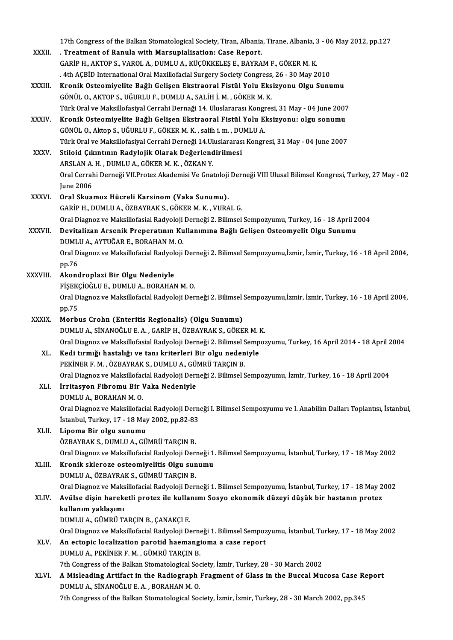|              | 17th Congress of the Balkan Stomatological Society, Tiran, Albania, Tirane, Albania, 3 - 06 May 2012, pp.127         |
|--------------|----------------------------------------------------------------------------------------------------------------------|
| XXXII.       | . Treatment of Ranula with Marsupialisation: Case Report.                                                            |
|              | GARİP H., AKTOP S., VAROL A., DUMLU A., KÜÇÜKKELEŞ E., BAYRAM F., GÖKER M. K.                                        |
|              | . 4th AÇBİD International Oral Maxillofacial Surgery Society Congress, 26 - 30 May 2010                              |
| XXXIII.      | Kronik Osteomiyelite Bağlı Gelişen Ekstraoral Fistül Yolu Eksizyonu Olgu Sunumu                                      |
|              | GÖNÜL O., AKTOP S., UĞURLU F., DUMLU A., SALİH İ. M., GÖKER M. K.                                                    |
|              | Türk Oral ve Maksillofasiyal Cerrahi Dernaği 14. Uluslararası Kongresi, 31 May - 04 June 2007                        |
| XXXIV.       | Kronik Osteomiyelite Bağlı Gelişen Ekstraoral Fistül Yolu Eksizyonu: olgu sonumu                                     |
|              | GÖNÜL O., Aktop S., UĞURLU F., GÖKER M. K., salih i. m., DUMLU A.                                                    |
|              | Türk Oral ve Maksillofasiyal Cerrahi Derneği 14.Uluslararası Kongresi, 31 May - 04 June 2007                         |
| XXXV.        | Stiloid Çıkıntının Radylojik Olarak Değerlendirilmesi                                                                |
|              | ARSLAN A.H., DUMLU A., GÖKER M.K., ÖZKAN Y.                                                                          |
|              | Oral Cerrahi Derneği VII Protez Akademisi Ve Gnatoloji Derneği VIII Ulusal Bilimsel Kongresi, Turkey, 27 May - 02    |
|              | <b>June 2006</b>                                                                                                     |
| <b>XXXVI</b> | Oral Skuamoz Hücreli Karsinom (Vaka Sunumu).                                                                         |
|              | GARİP H., DUMLU A., ÖZBAYRAK S., GÖKER M. K., VURAL G.                                                               |
|              | Oral Diagnoz ve Maksillofasial Radyoloji Derneği 2. Bilimsel Sempozyumu, Turkey, 16 - 18 April 2004                  |
| XXXVII.      | Devitalizan Arsenik Preperatının Kullanımına Bağlı Gelişen Osteomyelit Olgu Sunumu                                   |
|              | DUMLU A., AYTUĞAR E., BORAHAN M. O.                                                                                  |
|              | Oral Diagnoz ve Maksillofacial Radyoloji Derneği 2. Bilimsel Sempozyumu,İzmir, İzmir, Turkey, 16 - 18 April 2004,    |
|              | pp.76                                                                                                                |
| XXXVIII.     | Akondroplazi Bir Olgu Nedeniyle                                                                                      |
|              | FİŞEKÇİOĞLU E., DUMLU A., BORAHAN M. O.                                                                              |
|              | Oral Diagnoz ve Maksillofacial Radyoloji Derneği 2. Bilimsel Sempozyumu,İzmir, İzmir, Turkey, 16 - 18 April 2004,    |
|              | pp 75                                                                                                                |
| <b>XXXIX</b> | Morbus Crohn (Enteritis Regionalis) (Olgu Sunumu)                                                                    |
|              | DUMLU A., SİNANOĞLU E. A., GARİP H., ÖZBAYRAK S., GÖKER M. K.                                                        |
|              | Oral Diagnoz ve Maksillofasial Radyoloji Derneği 2. Bilimsel Sempozyumu, Turkey, 16 April 2014 - 18 April 2004       |
|              | XL Kedi tırmığı hastalığı ve tanı kriterleri Bir olgu nedeniyle                                                      |
|              | PEKİNER F. M., ÖZBAYRAK S., DUMLU A., GÜMRÜ TARÇIN B.                                                                |
|              | Oral Diagnoz ve Maksillofacial Radyoloji Derneği 2. Bilimsel Sempozyumu, İzmir, Turkey, 16 - 18 April 2004           |
| XLI.         | İrritasyon Fibromu Bir Vaka Nedeniyle                                                                                |
|              | DUMLU A., BORAHAN M.O.                                                                                               |
|              | Oral Diagnoz ve Maksillofacial Radyoloji Derneği I. Bilimsel Sempozyumu ve I. Anabilim Dalları Toplantısı, İstanbul, |
|              | İstanbul, Turkey, 17 - 18 May 2002, pp.82-83                                                                         |
| XLII.        | Lipoma Bir olgu sunumu                                                                                               |
|              | ÖZBAYRAK S., DUMLU A., GÜMRÜ TARÇIN B.                                                                               |
|              | Oral Diagnoz ve Maksillofacial Radyoloji Derneği 1. Bilimsel Sempozyumu, İstanbul, Turkey, 17 - 18 May 2002          |
| XLIII.       | Kronik skleroze osteomiyelitis Olgu sunumu                                                                           |
|              | DUMLU A., ÖZBAYRAK S., GÜMRÜ TARÇIN B.                                                                               |
|              | Oral Diagnoz ve Maksillofacial Radyoloji Derneği 1. Bilimsel Sempozyumu, İstanbul, Turkey, 17 - 18 May 2002          |
| XLIV.        | Avülse dişin hareketli protez ile kullanımı Sosyo ekonomik düzeyi düşük bir hastanın protez                          |
|              | kullanım yaklaşımı                                                                                                   |
|              | DUMLU A., GÜMRÜ TARÇIN B., ÇANAKÇI E.                                                                                |
|              | Oral Diagnoz ve Maksillofacial Radyoloji Derneği 1. Bilimsel Sempozyumu, İstanbul, Turkey, 17 - 18 May 2002          |
| XLV.         | An ectopic localization parotid haemangioma a case report                                                            |
|              | DUMLU A., PEKİNER F. M., GÜMRÜ TARÇIN B.                                                                             |
|              | 7th Congress of the Balkan Stomatological Society, İzmir, Turkey, 28 - 30 March 2002                                 |
| XLVI.        | A Misleading Artifact in the Radiograph Fragment of Glass in the Buccal Mucosa Case Report                           |
|              | DUMLU A., SİNANOĞLU E. A., BORAHAN M. O.                                                                             |
|              | 7th Congress of the Balkan Stomatological Society, İzmir, İzmir, Turkey, 28 - 30 March 2002, pp.345                  |